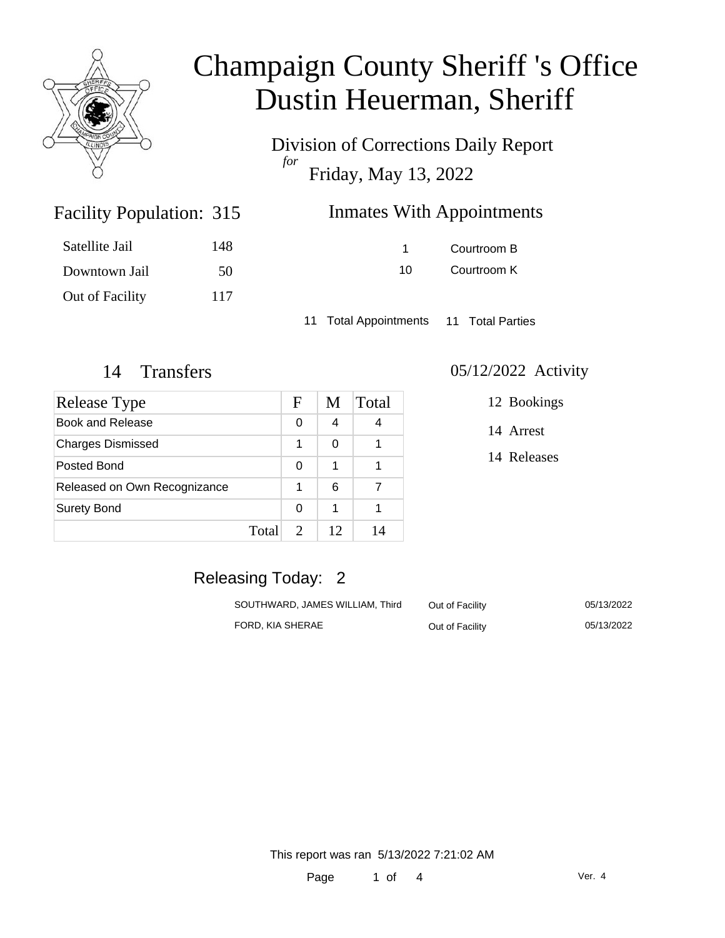

Division of Corrections Daily Report *for* Friday, May 13, 2022

| 315 | <b>Inmates With Appointments</b> |
|-----|----------------------------------|
|-----|----------------------------------|

| Satellite Jail  | 148 |
|-----------------|-----|
| Downtown Jail   | 50  |
| Out of Facility | 117 |

Facility Population: 315

1 Courtroom B 10 Courtroom K

11 Total Appointments 11 Total Parties

| Release Type                 |       | F             | M  | Total |
|------------------------------|-------|---------------|----|-------|
| Book and Release             |       | 0             | 4  |       |
| <b>Charges Dismissed</b>     |       | 1             | 0  |       |
| Posted Bond                  |       | 0             | 1  |       |
| Released on Own Recognizance |       | 1             | 6  |       |
| <b>Surety Bond</b>           |       | 0             | 1  |       |
|                              | Total | $\mathcal{D}$ | 12 | 14    |

#### 14 Transfers 05/12/2022 Activity

12 Bookings

14 Arrest

14 Releases

### Releasing Today: 2

| SOUTHWARD, JAMES WILLIAM, Third | Out of Facility | 05/13/2022 |
|---------------------------------|-----------------|------------|
| FORD, KIA SHERAE                | Out of Facility | 05/13/2022 |

This report was ran 5/13/2022 7:21:02 AM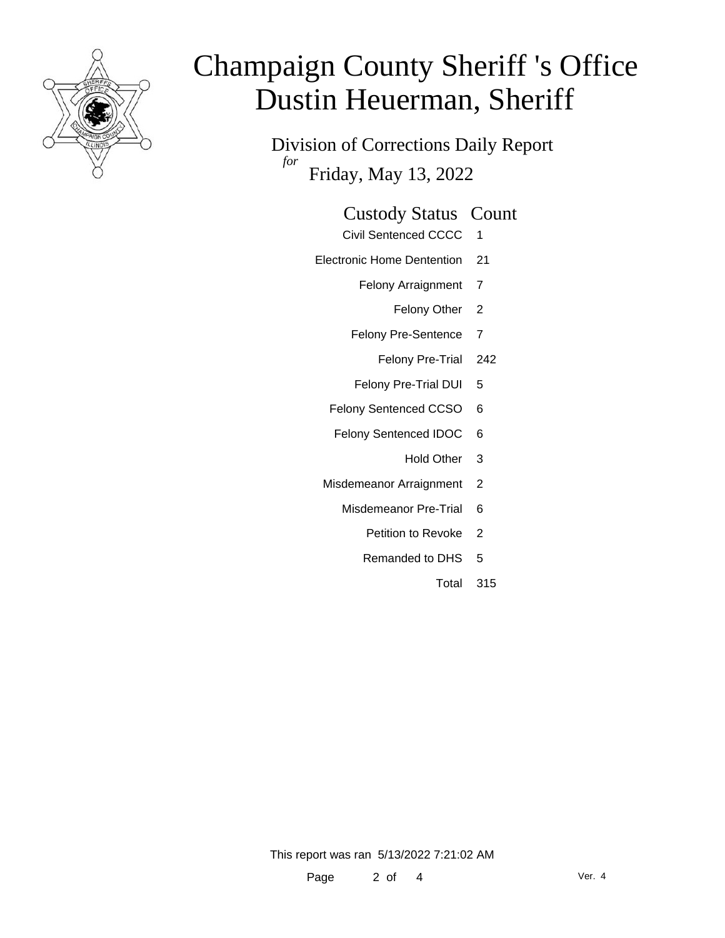

Division of Corrections Daily Report *for* Friday, May 13, 2022

### Custody Status Count

- Civil Sentenced CCCC 1
- Electronic Home Dentention 21
	- Felony Arraignment 7
		- Felony Other 2
	- Felony Pre-Sentence 7
		- Felony Pre-Trial 242
	- Felony Pre-Trial DUI 5
	- Felony Sentenced CCSO 6
	- Felony Sentenced IDOC 6
		- Hold Other 3
	- Misdemeanor Arraignment 2
		- Misdemeanor Pre-Trial 6
			- Petition to Revoke 2
			- Remanded to DHS 5
				- Total 315

This report was ran 5/13/2022 7:21:02 AM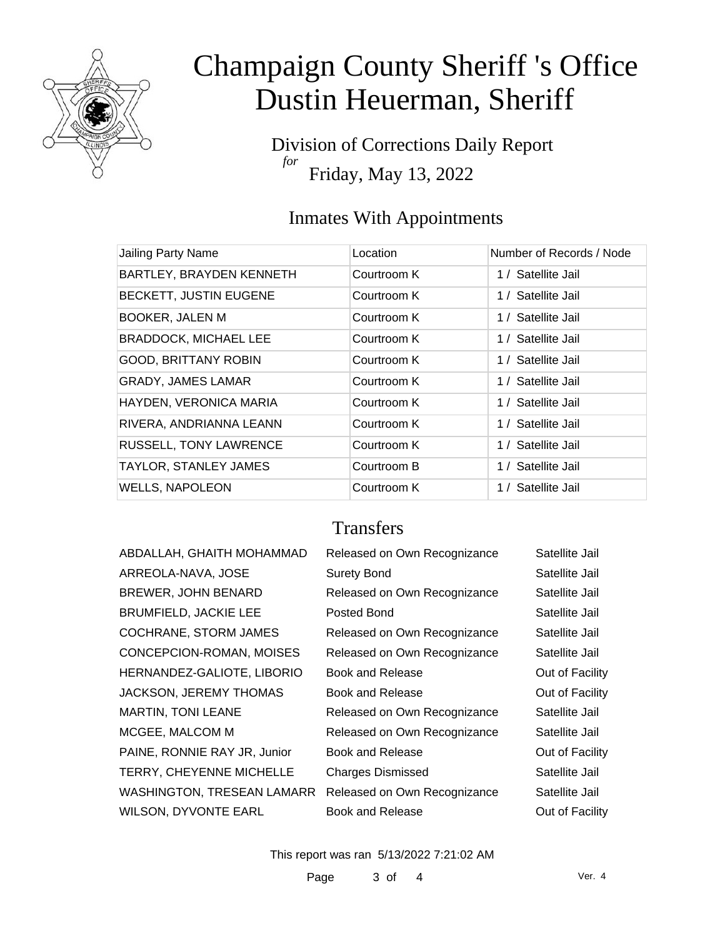

Division of Corrections Daily Report *for* Friday, May 13, 2022

### Inmates With Appointments

| Jailing Party Name           | Location    | Number of Records / Node |
|------------------------------|-------------|--------------------------|
| BARTLEY, BRAYDEN KENNETH     | Courtroom K | 1 / Satellite Jail       |
| BECKETT, JUSTIN EUGENE       | Courtroom K | 1 / Satellite Jail       |
| <b>BOOKER, JALEN M</b>       | Courtroom K | 1 / Satellite Jail       |
| <b>BRADDOCK, MICHAEL LEE</b> | Courtroom K | 1 / Satellite Jail       |
| <b>GOOD, BRITTANY ROBIN</b>  | Courtroom K | 1 / Satellite Jail       |
| <b>GRADY, JAMES LAMAR</b>    | Courtroom K | 1 / Satellite Jail       |
| HAYDEN, VERONICA MARIA       | Courtroom K | 1 / Satellite Jail       |
| RIVERA, ANDRIANNA LEANN      | Courtroom K | 1 / Satellite Jail       |
| RUSSELL, TONY LAWRENCE       | Courtroom K | 1 / Satellite Jail       |
| TAYLOR, STANLEY JAMES        | Courtroom B | 1 / Satellite Jail       |
| <b>WELLS, NAPOLEON</b>       | Courtroom K | 1 / Satellite Jail       |

### **Transfers**

| ABDALLAH, GHAITH MOHAMMAD         | Released on Own Recognizance | Satellite Jail  |
|-----------------------------------|------------------------------|-----------------|
| ARREOLA-NAVA, JOSE                | <b>Surety Bond</b>           | Satellite Jail  |
| BREWER, JOHN BENARD               | Released on Own Recognizance | Satellite Jail  |
| <b>BRUMFIELD, JACKIE LEE</b>      | Posted Bond                  | Satellite Jail  |
| COCHRANE, STORM JAMES             | Released on Own Recognizance | Satellite Jail  |
| CONCEPCION-ROMAN, MOISES          | Released on Own Recognizance | Satellite Jail  |
| HERNANDEZ-GALIOTE, LIBORIO        | Book and Release             | Out of Facility |
| JACKSON, JEREMY THOMAS            | Book and Release             | Out of Facility |
| <b>MARTIN, TONI LEANE</b>         | Released on Own Recognizance | Satellite Jail  |
| MCGEE, MALCOM M                   | Released on Own Recognizance | Satellite Jail  |
| PAINE, RONNIE RAY JR, Junior      | Book and Release             | Out of Facility |
| TERRY, CHEYENNE MICHELLE          | <b>Charges Dismissed</b>     | Satellite Jail  |
| <b>WASHINGTON, TRESEAN LAMARR</b> | Released on Own Recognizance | Satellite Jail  |
| <b>WILSON, DYVONTE EARL</b>       | <b>Book and Release</b>      | Out of Facility |

This report was ran 5/13/2022 7:21:02 AM